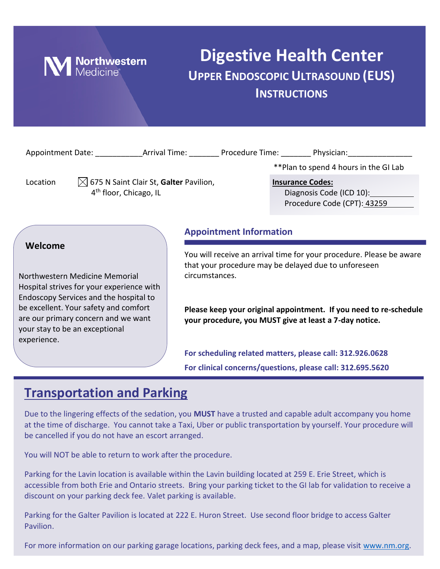

## **Digestive Health Center UPPER ENDOSCOPIC ULTRASOUND (EUS) INSTRUCTIONS**

|                                                                                                                                                                                                                                                                   | Appointment Date: Arrival Time: Procedure Time: Physician:                               |                                                                                                                                                                                  |  |                                                           |                                                                                    |  |
|-------------------------------------------------------------------------------------------------------------------------------------------------------------------------------------------------------------------------------------------------------------------|------------------------------------------------------------------------------------------|----------------------------------------------------------------------------------------------------------------------------------------------------------------------------------|--|-----------------------------------------------------------|------------------------------------------------------------------------------------|--|
|                                                                                                                                                                                                                                                                   |                                                                                          |                                                                                                                                                                                  |  |                                                           | **Plan to spend 4 hours in the GI Lab                                              |  |
| Location                                                                                                                                                                                                                                                          | $\boxtimes$ 675 N Saint Clair St, Galter Pavilion,<br>4 <sup>th</sup> floor, Chicago, IL |                                                                                                                                                                                  |  |                                                           | <b>Insurance Codes:</b><br>Diagnosis Code (ICD 10):<br>Procedure Code (CPT): 43259 |  |
| Welcome<br>Northwestern Medicine Memorial<br>Hospital strives for your experience with<br>Endoscopy Services and the hospital to<br>be excellent. Your safety and comfort<br>are our primary concern and we want<br>your stay to be an exceptional<br>experience. |                                                                                          | <b>Appointment Information</b><br>You will receive an arrival time for your procedure. Please be aware<br>that your procedure may be delayed due to unforeseen<br>circumstances. |  |                                                           |                                                                                    |  |
|                                                                                                                                                                                                                                                                   |                                                                                          |                                                                                                                                                                                  |  |                                                           |                                                                                    |  |
|                                                                                                                                                                                                                                                                   |                                                                                          |                                                                                                                                                                                  |  | For scheduling related matters, please call: 312.926.0628 |                                                                                    |  |
| For clinical concerns/questions, please call: 312.695.5620                                                                                                                                                                                                        |                                                                                          |                                                                                                                                                                                  |  |                                                           |                                                                                    |  |

## **Transportation and Parking**

Due to the lingering effects of the sedation, you **MUST** have a trusted and capable adult accompany you home at the time of discharge. You cannot take a Taxi, Uber or public transportation by yourself. Your procedure will be cancelled if you do not have an escort arranged.

You will NOT be able to return to work after the procedure.

Parking for the Lavin location is available within the Lavin building located at 259 E. Erie Street, which is accessible from both Erie and Ontario streets. Bring your parking ticket to the GI lab for validation to receive a discount on your parking deck fee. Valet parking is available.

Parking for the Galter Pavilion is located at 222 E. Huron Street. Use second floor bridge to access Galter Pavilion.

For more information on our parking garage locations, parking deck fees, and a map, please visit [www.nm.org.](http://www.nm.org/)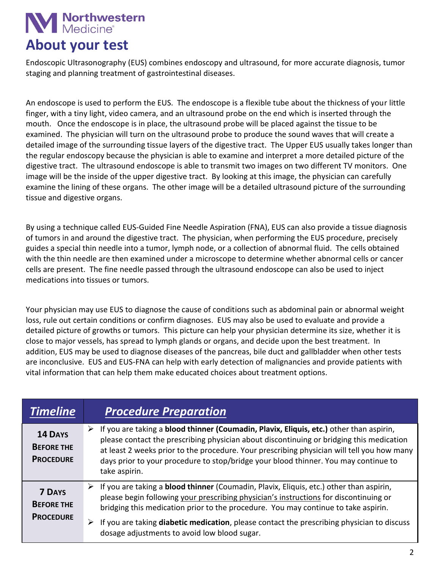## **Nanchwestern**<br>Medicine® **About your test**

Endoscopic Ultrasonography (EUS) combines endoscopy and ultrasound, for more accurate diagnosis, tumor staging and planning treatment of gastrointestinal diseases.

An endoscope is used to perform the EUS. The endoscope is a flexible tube about the thickness of your little finger, with a tiny light, video camera, and an ultrasound probe on the end which is inserted through the mouth. Once the endoscope is in place, the ultrasound probe will be placed against the tissue to be examined. The physician will turn on the ultrasound probe to produce the sound waves that will create a detailed image of the surrounding tissue layers of the digestive tract. The Upper EUS usually takes longer than the regular endoscopy because the physician is able to examine and interpret a more detailed picture of the digestive tract. The ultrasound endoscope is able to transmit two images on two different TV monitors. One image will be the inside of the upper digestive tract. By looking at this image, the physician can carefully examine the lining of these organs. The other image will be a detailed ultrasound picture of the surrounding tissue and digestive organs.

By using a technique called EUS-Guided Fine Needle Aspiration (FNA), EUS can also provide a tissue diagnosis of tumors in and around the digestive tract. The physician, when performing the EUS procedure, precisely guides a special thin needle into a tumor, lymph node, or a collection of abnormal fluid. The cells obtained with the thin needle are then examined under a microscope to determine whether abnormal cells or cancer cells are present. The fine needle passed through the ultrasound endoscope can also be used to inject medications into tissues or tumors.

Your physician may use EUS to diagnose the cause of conditions such as abdominal pain or abnormal weight loss, rule out certain conditions or confirm diagnoses. EUS may also be used to evaluate and provide a detailed picture of growths or tumors. This picture can help your physician determine its size, whether it is close to major vessels, has spread to lymph glands or organs, and decide upon the best treatment. In addition, EUS may be used to diagnose diseases of the pancreas, bile duct and gallbladder when other tests are inconclusive. EUS and EUS-FNA can help with early detection of malignancies and provide patients with vital information that can help them make educated choices about treatment options.

| <b>Timeline</b>                                         | <b>Procedure Preparation</b>                                                                                                                                                                                                                                                                                                                                                                   |  |
|---------------------------------------------------------|------------------------------------------------------------------------------------------------------------------------------------------------------------------------------------------------------------------------------------------------------------------------------------------------------------------------------------------------------------------------------------------------|--|
| <b>14 DAYS</b><br><b>BEFORE THE</b><br><b>PROCEDURE</b> | If you are taking a blood thinner (Coumadin, Plavix, Eliquis, etc.) other than aspirin,<br>➤<br>please contact the prescribing physician about discontinuing or bridging this medication<br>at least 2 weeks prior to the procedure. Your prescribing physician will tell you how many<br>days prior to your procedure to stop/bridge your blood thinner. You may continue to<br>take aspirin. |  |
| <b>7 DAYS</b><br><b>BEFORE THE</b><br><b>PROCEDURE</b>  | If you are taking a <b>blood thinner</b> (Coumadin, Plavix, Eliquis, etc.) other than aspirin,<br>➤<br>please begin following your prescribing physician's instructions for discontinuing or<br>bridging this medication prior to the procedure. You may continue to take aspirin.                                                                                                             |  |
|                                                         | If you are taking diabetic medication, please contact the prescribing physician to discuss<br>➤<br>dosage adjustments to avoid low blood sugar.                                                                                                                                                                                                                                                |  |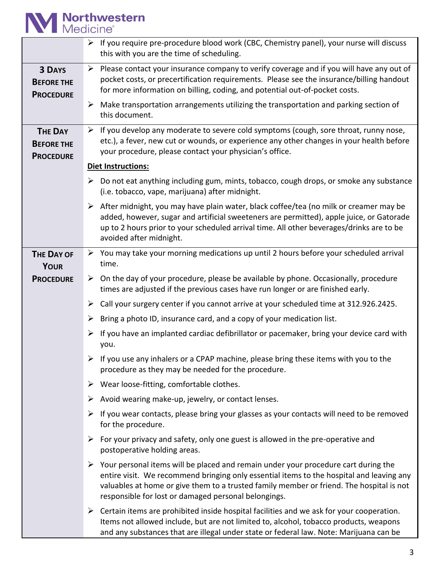# **M** Northwestern

|                                                         | $\triangleright$ If you require pre-procedure blood work (CBC, Chemistry panel), your nurse will discuss<br>this with you are the time of scheduling.                                                                                                                                                                                   |  |  |  |  |
|---------------------------------------------------------|-----------------------------------------------------------------------------------------------------------------------------------------------------------------------------------------------------------------------------------------------------------------------------------------------------------------------------------------|--|--|--|--|
| <b>3 DAYS</b><br><b>BEFORE THE</b><br><b>PROCEDURE</b>  | $\triangleright$ Please contact your insurance company to verify coverage and if you will have any out of<br>pocket costs, or precertification requirements. Please see the insurance/billing handout<br>for more information on billing, coding, and potential out-of-pocket costs.                                                    |  |  |  |  |
|                                                         | $\triangleright$ Make transportation arrangements utilizing the transportation and parking section of<br>this document.                                                                                                                                                                                                                 |  |  |  |  |
| <b>THE DAY</b><br><b>BEFORE THE</b><br><b>PROCEDURE</b> | $\triangleright$ If you develop any moderate to severe cold symptoms (cough, sore throat, runny nose,<br>etc.), a fever, new cut or wounds, or experience any other changes in your health before<br>your procedure, please contact your physician's office.                                                                            |  |  |  |  |
|                                                         | Diet Instructions:                                                                                                                                                                                                                                                                                                                      |  |  |  |  |
|                                                         | Do not eat anything including gum, mints, tobacco, cough drops, or smoke any substance<br>➤<br>(i.e. tobacco, vape, marijuana) after midnight.                                                                                                                                                                                          |  |  |  |  |
|                                                         | After midnight, you may have plain water, black coffee/tea (no milk or creamer may be<br>➤<br>added, however, sugar and artificial sweeteners are permitted), apple juice, or Gatorade<br>up to 2 hours prior to your scheduled arrival time. All other beverages/drinks are to be<br>avoided after midnight.                           |  |  |  |  |
| <b>THE DAY OF</b>                                       | $\triangleright$ You may take your morning medications up until 2 hours before your scheduled arrival                                                                                                                                                                                                                                   |  |  |  |  |
| <b>YOUR</b>                                             | time.                                                                                                                                                                                                                                                                                                                                   |  |  |  |  |
| <b>PROCEDURE</b>                                        | $\triangleright$ On the day of your procedure, please be available by phone. Occasionally, procedure<br>times are adjusted if the previous cases have run longer or are finished early.                                                                                                                                                 |  |  |  |  |
|                                                         | Call your surgery center if you cannot arrive at your scheduled time at 312.926.2425.<br>➤                                                                                                                                                                                                                                              |  |  |  |  |
|                                                         | Bring a photo ID, insurance card, and a copy of your medication list.<br>➤                                                                                                                                                                                                                                                              |  |  |  |  |
|                                                         | If you have an implanted cardiac defibrillator or pacemaker, bring your device card with<br>➤<br>you.                                                                                                                                                                                                                                   |  |  |  |  |
|                                                         | $\triangleright$ If you use any inhalers or a CPAP machine, please bring these items with you to the<br>procedure as they may be needed for the procedure.                                                                                                                                                                              |  |  |  |  |
|                                                         | Wear loose-fitting, comfortable clothes.                                                                                                                                                                                                                                                                                                |  |  |  |  |
|                                                         | Avoid wearing make-up, jewelry, or contact lenses.<br>➤                                                                                                                                                                                                                                                                                 |  |  |  |  |
|                                                         | If you wear contacts, please bring your glasses as your contacts will need to be removed<br>➤<br>for the procedure.                                                                                                                                                                                                                     |  |  |  |  |
|                                                         | For your privacy and safety, only one guest is allowed in the pre-operative and<br>➤<br>postoperative holding areas.                                                                                                                                                                                                                    |  |  |  |  |
|                                                         | Your personal items will be placed and remain under your procedure cart during the<br>➤<br>entire visit. We recommend bringing only essential items to the hospital and leaving any<br>valuables at home or give them to a trusted family member or friend. The hospital is not<br>responsible for lost or damaged personal belongings. |  |  |  |  |
|                                                         | Certain items are prohibited inside hospital facilities and we ask for your cooperation.<br>➤<br>Items not allowed include, but are not limited to, alcohol, tobacco products, weapons<br>and any substances that are illegal under state or federal law. Note: Marijuana can be                                                        |  |  |  |  |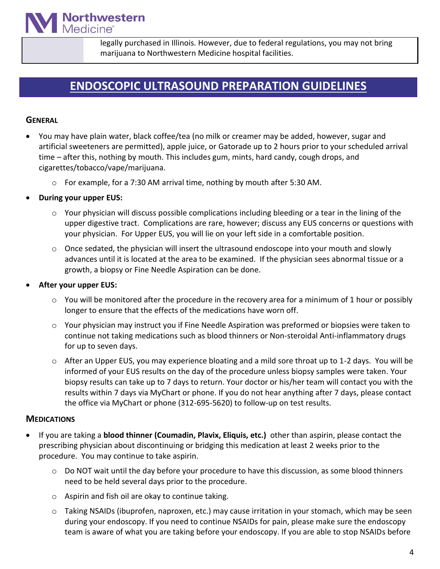legally purchased in Illinois. However, due to federal regulations, you may not bring marijuana to Northwestern Medicine hospital facilities.

## **ENDOSCOPIC ULTRASOUND PREPARATION GUIDELINES**

#### **GENERAL**

- You may have plain water, black coffee/tea (no milk or creamer may be added, however, sugar and artificial sweeteners are permitted), apple juice, or Gatorade up to 2 hours prior to your scheduled arrival time – after this, nothing by mouth. This includes gum, mints, hard candy, cough drops, and cigarettes/tobacco/vape/marijuana.
	- $\circ$  For example, for a 7:30 AM arrival time, nothing by mouth after 5:30 AM.
- **During your upper EUS:**

**Northwestern**<br>Medicine®

- o Your physician will discuss possible complications including bleeding or a tear in the lining of the upper digestive tract. Complications are rare, however; discuss any EUS concerns or questions with your physician. For Upper EUS, you will lie on your left side in a comfortable position.
- o Once sedated, the physician will insert the ultrasound endoscope into your mouth and slowly advances until it is located at the area to be examined. If the physician sees abnormal tissue or a growth, a biopsy or Fine Needle Aspiration can be done.
- **After your upper EUS:**
	- $\circ$  You will be monitored after the procedure in the recovery area for a minimum of 1 hour or possibly longer to ensure that the effects of the medications have worn off.
	- o Your physician may instruct you if Fine Needle Aspiration was preformed or biopsies were taken to continue not taking medications such as blood thinners or Non-steroidal Anti-inflammatory drugs for up to seven days.
	- o After an Upper EUS, you may experience bloating and a mild sore throat up to 1-2 days. You will be informed of your EUS results on the day of the procedure unless biopsy samples were taken. Your biopsy results can take up to 7 days to return. Your doctor or his/her team will contact you with the results within 7 days via MyChart or phone. If you do not hear anything after 7 days, please contact the office via MyChart or phone (312-695-5620) to follow-up on test results.

#### **MEDICATIONS**

- If you are taking a **blood thinner (Coumadin, Plavix, Eliquis, etc.)** other than aspirin, please contact the prescribing physician about discontinuing or bridging this medication at least 2 weeks prior to the procedure. You may continue to take aspirin.
	- o Do NOT wait until the day before your procedure to have this discussion, as some blood thinners need to be held several days prior to the procedure.
	- o Aspirin and fish oil are okay to continue taking.
	- $\circ$  Taking NSAIDs (ibuprofen, naproxen, etc.) may cause irritation in your stomach, which may be seen during your endoscopy. If you need to continue NSAIDs for pain, please make sure the endoscopy team is aware of what you are taking before your endoscopy. If you are able to stop NSAIDs before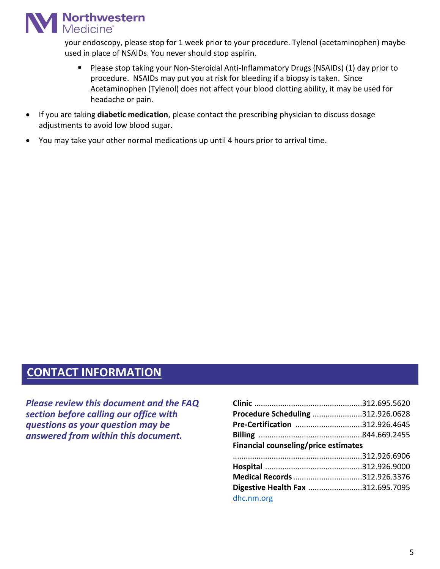

your endoscopy, please stop for 1 week prior to your procedure. Tylenol (acetaminophen) maybe used in place of NSAIDs. You never should stop aspirin.

- Please stop taking your Non-Steroidal Anti-Inflammatory Drugs (NSAIDs) (1) day prior to procedure. NSAIDs may put you at risk for bleeding if a biopsy is taken. Since Acetaminophen (Tylenol) does not affect your blood clotting ability, it may be used for headache or pain.
- If you are taking **diabetic medication**, please contact the prescribing physician to discuss dosage adjustments to avoid low blood sugar.
- You may take your other normal medications up until 4 hours prior to arrival time.

### **CONTACT INFORMATION**

*Please review this document and the FAQ section before calling our office with questions as your question may be answered from within this document.*

| Procedure Scheduling 312.926.0628    |  |  |  |  |
|--------------------------------------|--|--|--|--|
| Pre-Certification 312.926.4645       |  |  |  |  |
|                                      |  |  |  |  |
| Financial counseling/price estimates |  |  |  |  |
|                                      |  |  |  |  |
|                                      |  |  |  |  |
| Medical Records 312.926.3376         |  |  |  |  |
| Digestive Health Fax 312.695.7095    |  |  |  |  |
| dhc.nm.org                           |  |  |  |  |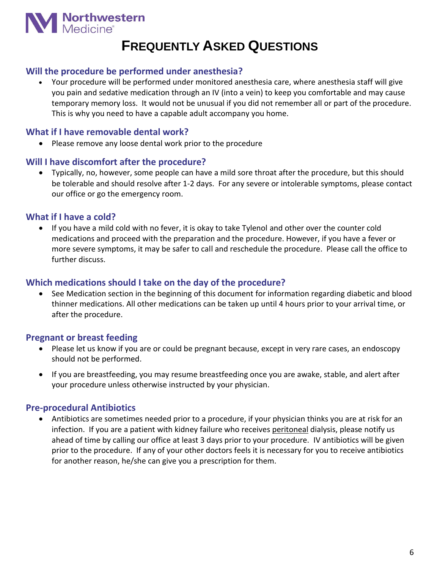

## **FREQUENTLY ASKED QUESTIONS**

#### **Will the procedure be performed under anesthesia?**

• Your procedure will be performed under monitored anesthesia care, where anesthesia staff will give you pain and sedative medication through an IV (into a vein) to keep you comfortable and may cause temporary memory loss. It would not be unusual if you did not remember all or part of the procedure. This is why you need to have a capable adult accompany you home.

#### **What if I have removable dental work?**

• Please remove any loose dental work prior to the procedure

#### **Will I have discomfort after the procedure?**

• Typically, no, however, some people can have a mild sore throat after the procedure, but this should be tolerable and should resolve after 1-2 days. For any severe or intolerable symptoms, please contact our office or go the emergency room.

#### **What if I have a cold?**

• If you have a mild cold with no fever, it is okay to take Tylenol and other over the counter cold medications and proceed with the preparation and the procedure. However, if you have a fever or more severe symptoms, it may be safer to call and reschedule the procedure. Please call the office to further discuss.

#### **Which medications should I take on the day of the procedure?**

• See Medication section in the beginning of this document for information regarding diabetic and blood thinner medications. All other medications can be taken up until 4 hours prior to your arrival time, or after the procedure.

#### **Pregnant or breast feeding**

- Please let us know if you are or could be pregnant because, except in very rare cases, an endoscopy should not be performed.
- If you are breastfeeding, you may resume breastfeeding once you are awake, stable, and alert after your procedure unless otherwise instructed by your physician.

#### **Pre-procedural Antibiotics**

• Antibiotics are sometimes needed prior to a procedure, if your physician thinks you are at risk for an infection. If you are a patient with kidney failure who receives peritoneal dialysis, please notify us ahead of time by calling our office at least 3 days prior to your procedure. IV antibiotics will be given prior to the procedure. If any of your other doctors feels it is necessary for you to receive antibiotics for another reason, he/she can give you a prescription for them.